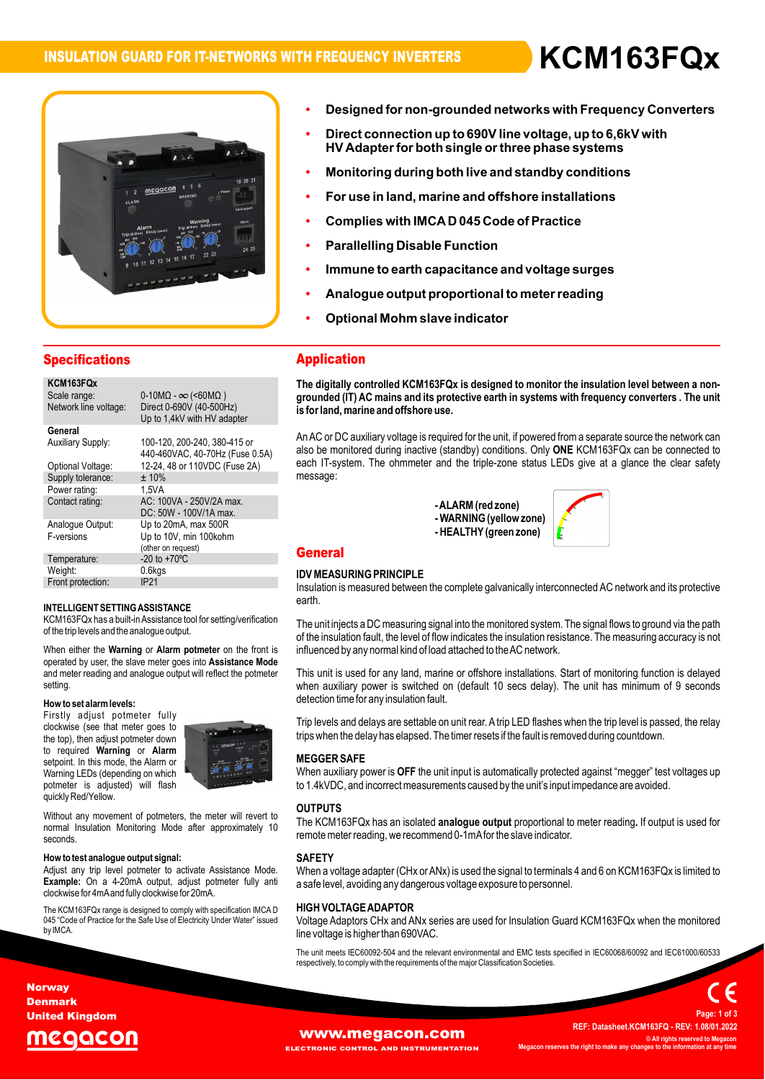**ï**

**Designed**



# Designed for non-grounded networks with Frequency Converters<br>Direct connection up to 690V line voltage, up to 6.6kV with **Designed for n**

- **ï**Designea for non-groundea networks with Frequency Conv<br>Direct connection up to 690V line voltage, up to 6,6kV with<br>HV Adapter for both single or three phase systems **HV** Adapter for both single or three phase systems
- **offshore <sup>i</sup> For use in land, marine and nstallations**
- **Complies with IMCAD <sup>045</sup> Code of Practice**
- **Complies with IMCA D 045 Code of Prade**<br>Parallelling Disable Function
- **Parallell**
- Immune to earth capacitance and voltage surges<br>Analoque output proportional to meter reading **to earth capacitance and voltage surges**
- **Optional Mohm slave indicator**
- Optional Mohm slave indicator

## **Specifications**

| KCM163FQx                |                                                |
|--------------------------|------------------------------------------------|
| Scale range:             | $0-10\text{M}\Omega - \infty$ (<60M $\Omega$ ) |
| Network line voltage:    | Direct 0-690V (40-500Hz)                       |
|                          | Up to 1,4kV with HV adapter                    |
| General                  |                                                |
| <b>Auxiliary Supply:</b> | 100-120, 200-240, 380-415 or                   |
|                          | 440-460VAC, 40-70Hz (Fuse 0.5A)                |
| Optional Voltage:        | 12-24, 48 or 110VDC (Fuse 2A)                  |
| Supply tolerance:        | ±10%                                           |
| Power rating:            | 1.5VA                                          |
| Contact rating:          | AC: 100VA - 250V/2A max.                       |
|                          | DC: 50W - 100V/1A max.                         |
| Analogue Output:         | Up to 20mA, max 500R                           |
| F-versions               | Up to 10V, min 100kohm                         |
|                          | (other on request)                             |
| Temperature:             | $-20$ to $+70^{\circ}$ C                       |
| Weight:                  | 0.6kgs                                         |
| Front protection:        | IP <sub>21</sub>                               |
|                          |                                                |

## INTELLIGENT SETTING ASSISTANCE

of the trip levels and the analogue output. **Le output.<br>Alarm\_potmeter**\_on\_the\_f eart<br>KCM163FQx has a built-in Assistance tool for setting/verification The<br>of the trip levels and the analogue output. of the trip levels and the analogue output.<br>of t<br>When either the **Warning or Alarm potmeter** on the front is infl

oru<br>ont is **influ**<br>Mode .<br>When either the **Warning** or **Alarm potmeter** on the<br>operated by user, the slave meter goes into **Assista** operated by user, the slave meter goes into **Assistance Mode** and meter reading and analogue output will reflect the potmeter setting setting.<br>**How to set alarm levels:** 

**EXECUTE THE CONSTRUCT TO A VIOLET TUILD**<br>Clockwise (see that meter goes to<br>the top), then adjust potmeter down **Alarm**<br>
the top), then adjust potmeter down<br>
to required **Warning** or **Alarm**<br>
setpoint. In this mode, the Alarm or<br>
Warning LEDs (depending on which **How to setalarm levels:**<br>Firstly adjust potmeter fully<br>clockwise (see that meter goes to vvarning LEDS (dependin<br>potmeter is adjusted)<br>quickly Red/Yellow. Into required Warning or Alarm to required **warning** or Alarm<br>setpoint. In this mode, the Alarm or<br>Warning LEDs (depending on which selpoint. In this mode, the Alamn of<br>Warning LEDs (depending on which<br>potmeter is adjusted) will flash



quickly Red/Yellow.<br>Without any movement of potmeters, the meter will revert to **OU'**<br>normal Insulation Monitoring Mode after approximately 10 seconds

## **thow to test analogue output signal:**

clockwise for 4mA and fully clockwise for 20mA. Adjust any trip level potmeter to activate Assistance Mode. Example: On a 4-20mA output, adjust potmeter fully anti

clockwise for 4mAand fully clockwise for 20mA.<br>The KCM163FQx range is designed to comply with specification IMCA Dhi**ng PhilGi**<br>045 "Code of Practice for the Safe Use of Electricity Under Water" issuedhing Molta 045 "Code of Practice for the Safe Use of Electricity Under Water" issued<br>by IMCA.

## **Application The**

 **digitally controlled KCM163FQx is designed to monitor the insulation levelbetween <sup>a</sup> non- groundedis (IT) AC mains and its protective earth in systems with frequency converters . The unit for an andam controlled KCM 163FQX is (**<br>ounded (IT) AC mains and its protective<br>for land. marine and offshore use. is for land, marine and offshore use.

is for land, marine and offshore use.<br>An AC or DC auxiliary voltage is required for the unit, if powered from a separate source the network can<br>also be monitored during inactive (standby) conditions. Only **ONE** KCM163FQx c **ONE**Arrac or DC auxiliary voltage is required for the drift, if powered from a separate source the network can<br>also be monitored during inactive (standby) conditions. Only **ONE** KCM163FQx can be connected to<br>each IT-system. Th message:

- ALARM (red zone)<br>- WARNING (yellow zone)<br>- HEALTHY (green zone) **)** -ALARM (red zone)



## **IDEASURING PRINCIPLE**

## $\sum_{i=1}^{n}$ earth.

Insulation is measured between the complete galvanically interconnected AC network and its protective earth.

earth.<br>The unit injects a DC measuring signal into the monitored system. The signal flows to ground via the path<br>of the insulation fault. the level of flow indicates the insulation resistance. The measuring accuracv is not of the insulation fault, the level of flow indicates the insulation resistance. The measuring accuracy is not<br>influenced by any normal kind of load attached to the AC network.

influenced by any normal kind of load attached to the AC network.<br>This unit is used for any land, marine or offshore installations. Start of monitoring function is delayed<br>when auxiliary power is switched on (default 10 se when auxiliary power is switched on (default 10 secs delay). The unit has minimum of 9 seconds detection time for any insulation fault.

trips when the delay has elapsed. The timer resets if the fault is removed during countdown. detection time for any insulation fault.<br>Trip levels and delays are settable on unit rear. A trip LED flashes when the trip level is passed, the relay<br>trips when the delay has elapsed. The timer resets if the fault is remo

## $ur$ ivi<br>'

**ER SAFE**<br>auxiliary power is **OFF** the unit input is automatically protected against "megger" test voltages up to 1.4kVDC, and incorrect measurements caused by the unit's input impedance are avoided. EGGER SAFE<br>hen auxiliary power is **OFF** the unit input is automatically protected against "megger" test volta<br>1.4kVDC. and incorrect measurements caused by the unit's input impedance are avoided.

## **OUTPUTS**

**OUTPUTS**<br>The KCM163FQx has an isolated **analogue output** proportional to meter reading. If output is used for<br>remote meter reading, we recommend 0-1mAfor the slave indicator.

## **SAFETY**

a safe level, avoiding any dangerous voltage exposure to personnel. **SAFETY**<br>When a voltage adapter (CHx or ANx) is used the signal to terminals 4 and 6 on KCM163FQx is limited to<br>a safe level, avoiding any dangerous voltage exposure to personnel.

## Voltageטוח

**OLTAGE ADAPTOR**<br>Adaptors CHx and ANx series are used for Insulation Guard KCM163FQx when the monitored **H VOLTAGE ADAP TOR**<br>age Adaptors CHx and ANx series a<br>voltage is higher than 690VAC. line voltage is higher than 690VAC.

line voltage is higher than 690VAC.<br>The unit meets IEC60092-504 and the relevant environmental and EMC tests specified in IEC60068/60092 and IEC61000/60533<br>respectively, to comply with the requirements of the major Classif



**Norway Denmark United Kingdom**

# cqacon

**ELECTRONIC CONTROL AND INSTRUMENTATION**

**[www.megacon.com](http://www.megacon.com)**<br> **ECTRONIC CONTROL AND INSTRUMENTATION All rights reserved to Megacon MegaconC** All rights reserved to Meganges to the **information** at any

**REF:**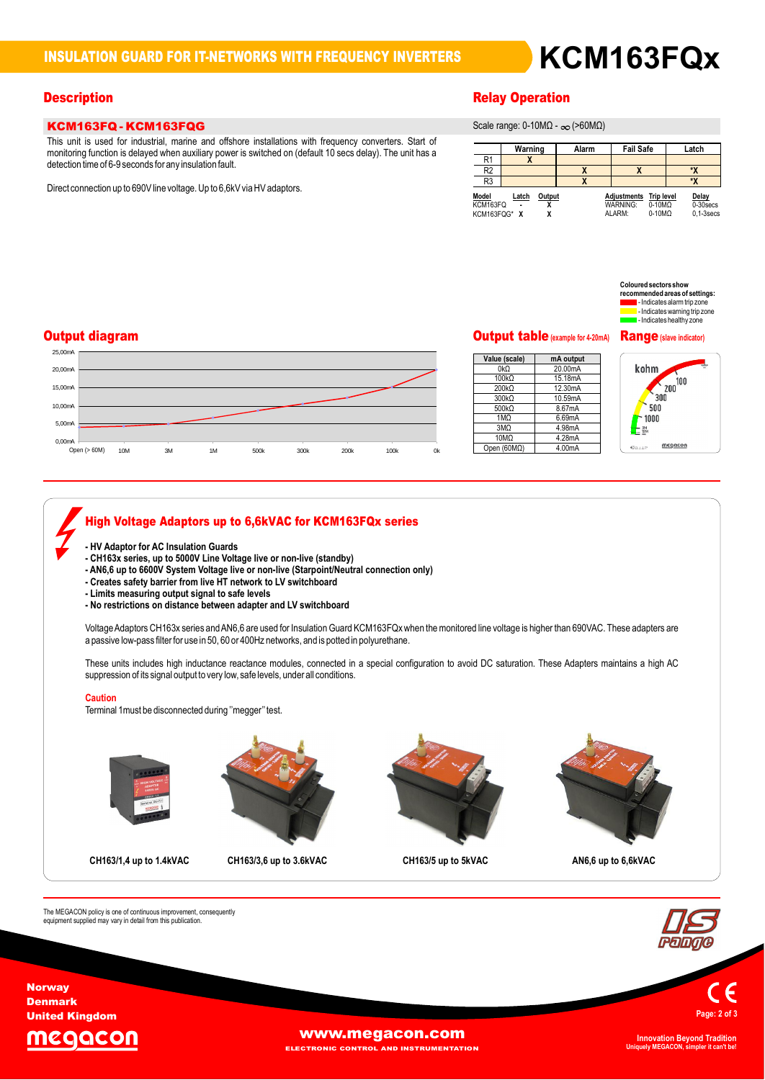# **INSULATION GUARD FOR IT-NETWORKS WITH FREQUENCY INVERTERS KCM163FQx**

## **KCM163FQ - KCM163FQG** This

KCM163FQ - KCM163FQG<br>This unit is used for industrial, marine and offshore installations with frequency converters. Start of This unit is used for industrial, marine and offshore installations with frequency converters. Start of<br>monitoring function is delaved when auxiliary power is switched on (default 10 secs delay). The unit has a monitoring function is delayed when auxiliary power is switched on (default 10 secs delay). The unit has a detection time of 6-9 seconds for any insulation fault.

Direct connection up to 690V line voltage. Up to 6,6kV via HV adaptors.

## **Description**

**range: 0-10MΩ - ∞ (>60MΩ)** 

|                                   | Warning |        | Alarm | <b>Fail Safe</b>                                |                                                     | Latch                                |
|-----------------------------------|---------|--------|-------|-------------------------------------------------|-----------------------------------------------------|--------------------------------------|
| R1                                | л       |        |       |                                                 |                                                     |                                      |
| R <sub>2</sub>                    |         |        |       | Χ                                               |                                                     | ۰x                                   |
| R <sub>3</sub>                    |         |        |       |                                                 |                                                     | ۰x                                   |
| Model<br>KCM163FQ<br>KCM163FQG* X | Latch   | Output |       | <b>Adjustments</b><br><b>WARNING:</b><br>ALARM: | <b>Trip level</b><br>$0-10M\Omega$<br>$0-10M\Omega$ | Delay<br>0-30 secs<br>$0.1 - 3$ secs |

## $\mathbf c$  oloured sectors show **red sectors show<br>imended areas of settings:<br>- Indicates alarm trip zone** rmenaea areas or setungs:<br>- Indicates alarm trip zone<br>- Indicates warning trip zone let Indicates warning trip zone<br>let Indicates healthy zone

## **Output diagram**



### **(scale) mA output** 20.00mA ue (sca<br>2kΩ 15.18mA<br>15.18mA<br>12.30mA 0kΩ<br>100kΩ 200kΩ 12.30mA 300kΩ 10.59mA 500kQ 8.67mA<br>6.69mA 4.98mA 4.28mA

 $\frac{0.02}{0.0000}$  4.28mA<br>(60MΩ) 4.00mA

1MΩ

10MΩ $10MC$ 



# **High Voltage Adaptors up to 6,6kVAC for KCM163FQx series - HV Adaptor for AC Insulation Guards -- CH163x series, up to 5000V Line Voltage live ornon-live (standby)** - nv Adaptor for AC insulation Guards<br>- CH163x series, up to 5000V Line Voltage live or non-live (standby)<br>- AN6,6 up to 6600V System Voltage live or non-live (Starpoint/Neutral connection only)<br>- Creates safetv barrier fr **Limits** we have a state of the state in the state of the states safety barrier from live HT network to LV swith<br>- Creates safety barrier from live HT network to LV swith<br>- Limits measuring output signal to safe levels **-** Creates safety barrier from live HT hetwork to LV switchboard<br>- Limits measuring output signal to safe levels<br>- No restrictions on distance between adapter and LV switchboard a passive low-pass liller lor use in 50, 60 or 400Hz hetworks, and is potted in polyuremane.<br>These units includes high inductance reactance modules, connected in a special configuration to avoid DC saturation. These Adapte Caution Terminal 1must be disconnected during "megger" test. - No restrictions on distance between adapter and LV switchboard<br>Voltage Adaptors CH163x series and AN6,6 are used for Insulation Guard KCM163FQx when the monitored line voltage is higher than 690VAC. These adapters are<br>a ve iow-pass inter ior use in 50, ou or 400Hz networks, and is potted in porytretriane.<br>units includes high inductance reactance modules, connected in a special configuration to avoid DC saturation. These Adapters maintai suppression of its signal output to very low, safe levels, under all conditions. **up to 1.4kVAC CH163/3,6 up to 3.6kVAC CH163/5 up to 5kVAC AN6,6 up to 6,6kVAC**



**Page:<sup>2</sup> of <sup>3</sup>**

**Norway Denmark United Kingdom**

The



The MEGACON policy is one of continuous improvement, consequently<br>equipment supplied may vary in detail from this publication.

**[www.megacon.com](http://www.megacon.com)** 

**ELECTRONIC CONTROL AND INSTRUMENTATION**

**Uniquely MEGACON, simpler it can't be!**